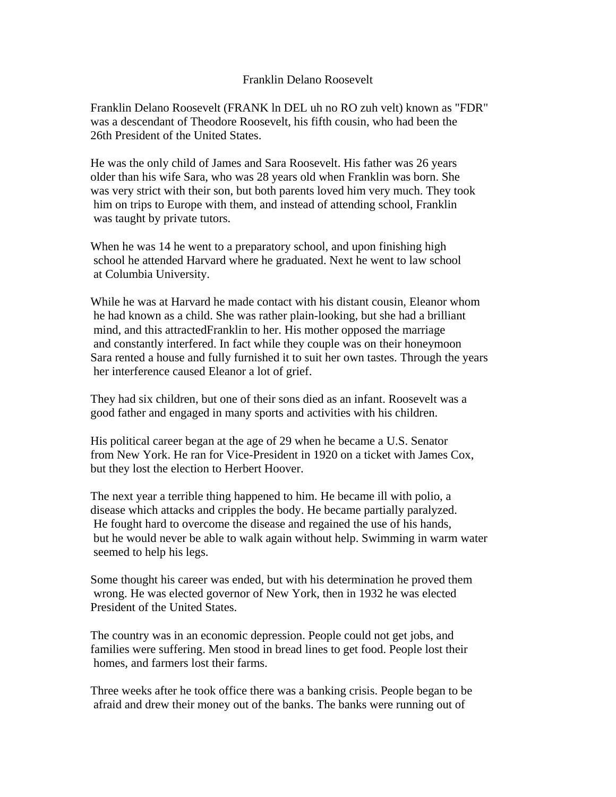## Franklin Delano Roosevelt

Franklin Delano Roosevelt (FRANK ln DEL uh no RO zuh velt) known as "FDR" was a descendant of Theodore Roosevelt, his fifth cousin, who had been the 26th President of the United States.

He was the only child of James and Sara Roosevelt. His father was 26 years older than his wife Sara, who was 28 years old when Franklin was born. She was very strict with their son, but both parents loved him very much. They took him on trips to Europe with them, and instead of attending school, Franklin was taught by private tutors.

When he was 14 he went to a preparatory school, and upon finishing high school he attended Harvard where he graduated. Next he went to law school at Columbia University.

While he was at Harvard he made contact with his distant cousin, Eleanor whom he had known as a child. She was rather plain-looking, but she had a brilliant mind, and this attractedFranklin to her. His mother opposed the marriage and constantly interfered. In fact while they couple was on their honeymoon Sara rented a house and fully furnished it to suit her own tastes. Through the years her interference caused Eleanor a lot of grief.

They had six children, but one of their sons died as an infant. Roosevelt was a good father and engaged in many sports and activities with his children.

His political career began at the age of 29 when he became a U.S. Senator from New York. He ran for Vice-President in 1920 on a ticket with James Cox, but they lost the election to Herbert Hoover.

The next year a terrible thing happened to him. He became ill with polio, a disease which attacks and cripples the body. He became partially paralyzed. He fought hard to overcome the disease and regained the use of his hands, but he would never be able to walk again without help. Swimming in warm water seemed to help his legs.

Some thought his career was ended, but with his determination he proved them wrong. He was elected governor of New York, then in 1932 he was elected President of the United States.

The country was in an economic depression. People could not get jobs, and families were suffering. Men stood in bread lines to get food. People lost their homes, and farmers lost their farms.

Three weeks after he took office there was a banking crisis. People began to be afraid and drew their money out of the banks. The banks were running out of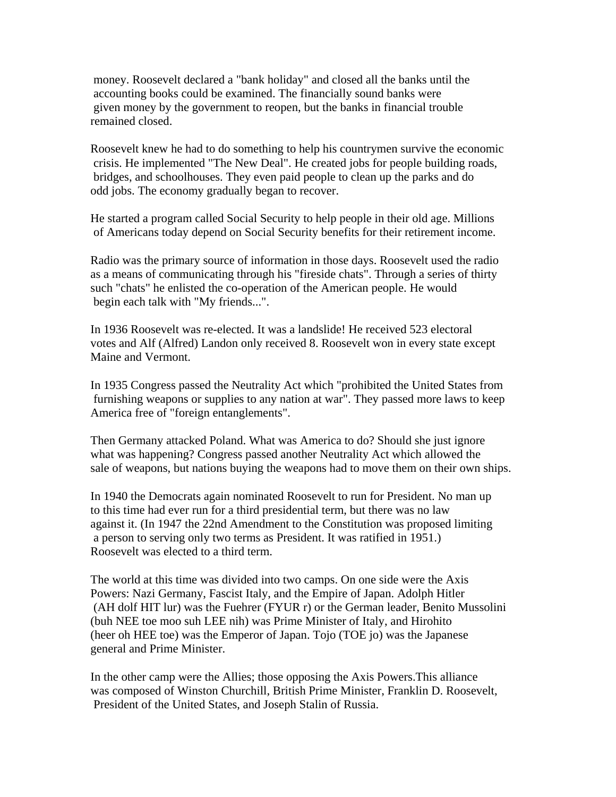money. Roosevelt declared a "bank holiday" and closed all the banks until the accounting books could be examined. The financially sound banks were given money by the government to reopen, but the banks in financial trouble remained closed.

Roosevelt knew he had to do something to help his countrymen survive the economic crisis. He implemented "The New Deal". He created jobs for people building roads, bridges, and schoolhouses. They even paid people to clean up the parks and do odd jobs. The economy gradually began to recover.

He started a program called Social Security to help people in their old age. Millions of Americans today depend on Social Security benefits for their retirement income.

Radio was the primary source of information in those days. Roosevelt used the radio as a means of communicating through his "fireside chats". Through a series of thirty such "chats" he enlisted the co-operation of the American people. He would begin each talk with "My friends...".

In 1936 Roosevelt was re-elected. It was a landslide! He received 523 electoral votes and Alf (Alfred) Landon only received 8. Roosevelt won in every state except Maine and Vermont.

In 1935 Congress passed the Neutrality Act which "prohibited the United States from furnishing weapons or supplies to any nation at war". They passed more laws to keep America free of "foreign entanglements".

Then Germany attacked Poland. What was America to do? Should she just ignore what was happening? Congress passed another Neutrality Act which allowed the sale of weapons, but nations buying the weapons had to move them on their own ships.

In 1940 the Democrats again nominated Roosevelt to run for President. No man up to this time had ever run for a third presidential term, but there was no law against it. (In 1947 the 22nd Amendment to the Constitution was proposed limiting a person to serving only two terms as President. It was ratified in 1951.) Roosevelt was elected to a third term.

The world at this time was divided into two camps. On one side were the Axis Powers: Nazi Germany, Fascist Italy, and the Empire of Japan. Adolph Hitler (AH dolf HIT lur) was the Fuehrer (FYUR r) or the German leader, Benito Mussolini (buh NEE toe moo suh LEE nih) was Prime Minister of Italy, and Hirohito (heer oh HEE toe) was the Emperor of Japan. Tojo (TOE jo) was the Japanese general and Prime Minister.

In the other camp were the Allies; those opposing the Axis Powers.This alliance was composed of Winston Churchill, British Prime Minister, Franklin D. Roosevelt, President of the United States, and Joseph Stalin of Russia.